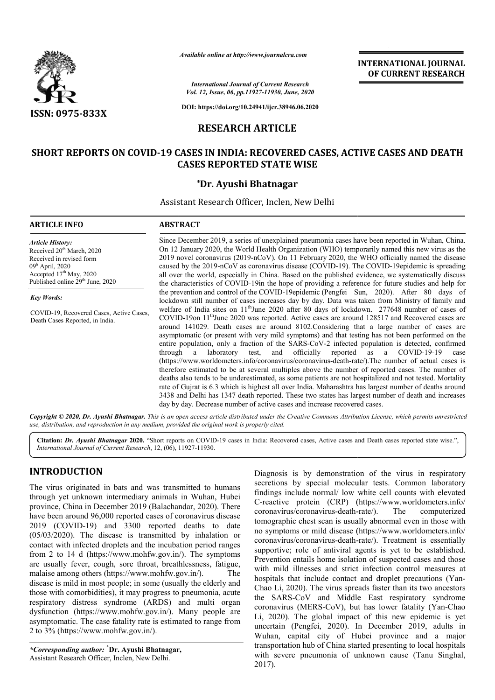

*Available online at http://www.journalcra.com*

*International Journal of Current Research Vol. 12, Issue, 06, pp.11927-11930, June, 2020*

**DOI: https://doi.org/10.24941/ijcr.38946.06.2020**

# **RESEARCH ARTICLE**

# **SHORT REPORTS ON COVID-19 CASES -19 IN INDIA: RECOVERED CASES, ACTIVE CASES AND DEATH CASES REPORTED STATE WISE**

#### **\*Dr. Ayushi Bhatnagar**

Assistant Research Officer, Inclen, New Delhi

| <b>ARTICLE INFO</b>                                                                                                                                                                            | <b>ABSTRACT</b>                                                                                                                                                                                                                                                                                                                                                                                                                                                                                                                                                                                                                                                                                                                                                                                                                                                                                                                                                                                                                                                                                                                                                                                                                                                                                                                                                                                                                                                                                                                                                                                                                                                                                                                                                                                                                                                                                                                                                                                                                                                               |
|------------------------------------------------------------------------------------------------------------------------------------------------------------------------------------------------|-------------------------------------------------------------------------------------------------------------------------------------------------------------------------------------------------------------------------------------------------------------------------------------------------------------------------------------------------------------------------------------------------------------------------------------------------------------------------------------------------------------------------------------------------------------------------------------------------------------------------------------------------------------------------------------------------------------------------------------------------------------------------------------------------------------------------------------------------------------------------------------------------------------------------------------------------------------------------------------------------------------------------------------------------------------------------------------------------------------------------------------------------------------------------------------------------------------------------------------------------------------------------------------------------------------------------------------------------------------------------------------------------------------------------------------------------------------------------------------------------------------------------------------------------------------------------------------------------------------------------------------------------------------------------------------------------------------------------------------------------------------------------------------------------------------------------------------------------------------------------------------------------------------------------------------------------------------------------------------------------------------------------------------------------------------------------------|
| <b>Article History:</b><br>Received 20 <sup>th</sup> March, 2020<br>Received in revised form<br>$09h$ April, 2020<br>Accepted $17th$ May, 2020<br>Published online 29 <sup>th</sup> June, 2020 | Since December 2019, a series of unexplained pneumonia cases have been reported in Wuhan, China.<br>On 12 January 2020, the World Health Organization (WHO) temporarily named this new virus as the<br>2019 novel coronavirus (2019-nCoV). On 11 February 2020, the WHO officially named the disease<br>caused by the 2019-nCoV as coronavirus disease (COVID-19). The COVID-19epidemic is spreading<br>all over the world, especially in China. Based on the published evidence, we systematically discuss<br>the characteristics of COVID-19 in the hope of providing a reference for future studies and help for<br>the prevention and control of the COVID-19epidemic (Pengfei Sun, 2020). After 80 days of<br>lockdown still number of cases increases day by day. Data was taken from Ministry of family and<br>welfare of India sites on 11 <sup>th</sup> June 2020 after 80 days of lockdown. 277648 number of cases of<br>COVID-19 on 11 <sup>th</sup> June 2020 was reported. Active cases are around 128517 and Recovered cases are<br>around 141029. Death cases are around 8102. Considering that a large number of cases are<br>asymptomatic (or present with very mild symptoms) and that testing has not been performed on the<br>entire population, only a fraction of the SARS-CoV-2 infected population is detected, confirmed<br>officially<br>reported<br>COVID-19-19<br>through<br>laboratory<br>test,<br>and<br>as<br>a<br>a<br>case<br>(https://www.worldometers.info/coronavirus/coronavirus-death-rate/). The number of actual cases is<br>therefore estimated to be at several multiples above the number of reported cases. The number of<br>deaths also tends to be underestimated, as some patients are not hospitalized and not tested. Mortality<br>rate of Guirat is 6.3 which is highest all over India. Maharashtra has largest number of deaths around<br>3438 and Delhi has 1347 death reported. These two states has largest number of death and increases<br>day by day. Decrease number of active cases and increase recovered cases. |
| <b>Key Words:</b>                                                                                                                                                                              |                                                                                                                                                                                                                                                                                                                                                                                                                                                                                                                                                                                                                                                                                                                                                                                                                                                                                                                                                                                                                                                                                                                                                                                                                                                                                                                                                                                                                                                                                                                                                                                                                                                                                                                                                                                                                                                                                                                                                                                                                                                                               |
| COVID-19, Recovered Cases, Active Cases,<br>Death Cases Reported, in India.                                                                                                                    |                                                                                                                                                                                                                                                                                                                                                                                                                                                                                                                                                                                                                                                                                                                                                                                                                                                                                                                                                                                                                                                                                                                                                                                                                                                                                                                                                                                                                                                                                                                                                                                                                                                                                                                                                                                                                                                                                                                                                                                                                                                                               |
|                                                                                                                                                                                                | Copyright © 2020, Dr. Ayushi Bhatnagar. This is an open access article distributed under the Creative Commons Attribution License, which permits unrestricted                                                                                                                                                                                                                                                                                                                                                                                                                                                                                                                                                                                                                                                                                                                                                                                                                                                                                                                                                                                                                                                                                                                                                                                                                                                                                                                                                                                                                                                                                                                                                                                                                                                                                                                                                                                                                                                                                                                 |

*use, distribution, and reproduction in any medium, provided the original work is properly cited.*

Citation: Dr. Ayushi Bhatnagar 2020. "Short reports on COVID-19 cases in India: Recovered cases, Active cases and Death cases reported state wise.", *International Journal of Current Research*, 12, (06), 11927 11927-11930.

# **INTRODUCTION**

The virus originated in bats and was transmitted to humans through yet unknown intermediary animals in Wuhan, Hubei province, China in December 2019 (Balachandar, 2020 Balachandar, 2020). There have been around 96,000 reported cases of coronavirus disease 2019 (COVID‐19) and 3300 reported deaths to date (05/03/2020). The disease is transmitted by inhalation or contact with infected droplets and the incubation period ranges from 2 to 14 d (https://www.mohfw.gov.in/). The symptoms are usually fever, cough, sore throat, breathlessness, fatigue, malaise among others (https://www.mohfw.gov.in/). The disease is mild in most people; in some (usually the elderly and those with comorbidities), it may progress to pneumonia, acute respiratory distress syndrome (ARDS) and multi organ dysfunction (https://www.mohfw.gov.in/). Many people are asymptomatic. The case fatality rate is estimated to range from 2 to 3% (https://www.mohfw.gov.in/). 9) and 3300 reported deaths to date<br>e disease is transmitted by inhalation or<br>ted droplets and the incubation period ranges<br>https://www.mohfw.gov.in/). The symptoms

*\*Corresponding author:* **\* Dr. Ayushi Bhatnagar,** Assistant Research Officer, Inclen, New Delhi.

Diagnosis is by demonstration of the virus in respiratory<br>
Solution signal molecular tests. Common laboratory<br>
Is in Wuhan, Hubei<br>
Indings include normal low white cell counts with elevated<br>
handar, 2020). There<br>
Creactive secretions by special molecular tests. Common laboratory findings include normal/ low white cell counts with elevated Diagnosis is by demonstration of the virus in respiratory secretions by special molecular tests. Common laboratory findings include normal/ low white cell counts with elevated C-reactive protein (CRP) (https://www.worldome coronavirus/coronavirus-deathtomographic chest scan is usually abnormal even in those with tomographic chest scan is usually abnormal even in those with no symptoms or mild disease (https://www.worldometers.info/ coronavirus/coronavirus-death-rate/). Treatment is essentially supportive; role of antiviral agents is yet to be established. Prevention entails home isolation of suspected cases and those with mild illnesses and strict infection control measures at hospitals that include contact and droplet precautions (Yan-Chao Li, 2020). The virus spreads faster than its two ancestors the SARS-CoV and Middle East respiratory syndrome Chao Li, 2020). The virus spreads faster than its two ancestors<br>the SARS-CoV and Middle East respiratory syndrome<br>coronavirus (MERS-CoV), but has lower fatality (Yan-Chao Li, 2020). The global impact of this new epidemic is yet uncertain (Pengfei, 2020). In December 2019, adults in Wuhan, capital city of Hubei province and a major transportation hub of China started presenting to local hospitals with severe pneumonia of unknown cause (Tanu Singhal, 2017). The computerized supportive; role of antiviral agents is yet to be established.<br>Prevention entails home isolation of suspected cases and those<br>with mild illnesses and strict infection control measures at<br>hospitals that include contact and . The global impact of this new epidemic is yet (Pengfei, 2020). In December 2019, adults in capital city of Hubei province and a major tion hub of China started presenting to local hospitals represention in of unknown cau

**INTERNATIONAL JOURNAL OF CURRENT RESEARCH**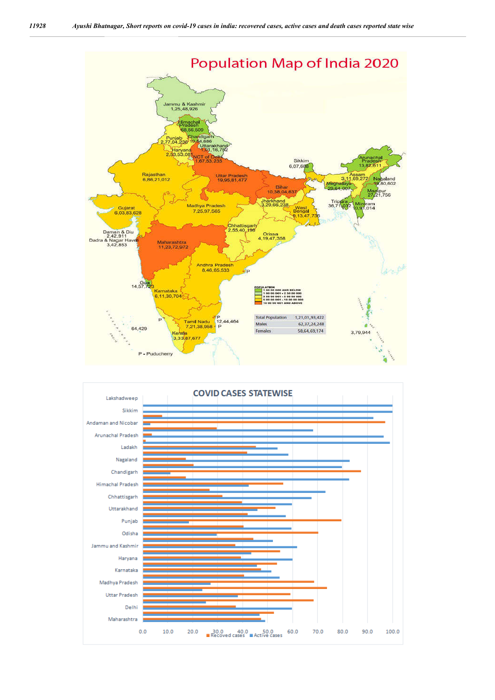

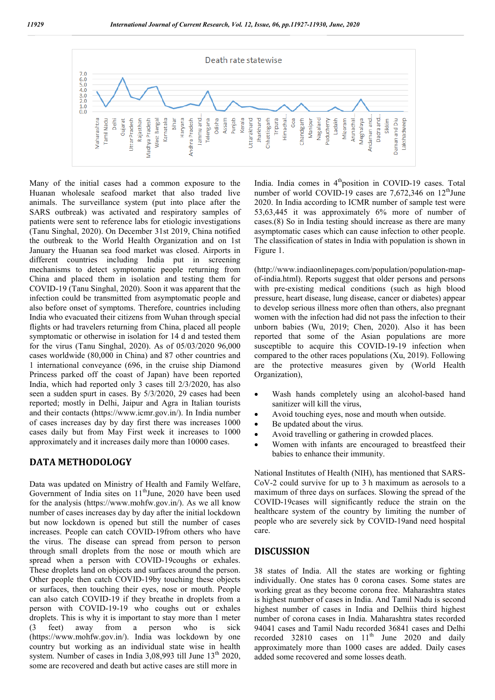

Many of the initial cases had a common exposure to the Huanan wholesale seafood market that also traded live animals. The surveillance system (put into place after the SARS outbreak) was activated and respiratory samples of patients were sent to reference labs for etiologic investigations (Tanu Singhal, 2020). On December 31st 2019, China notified the outbreak to the World Health Organization and on 1st January the Huanan sea food market was closed. Airports in different countries including India put in screening mechanisms to detect symptomatic people returning from China and placed them in isolation and testing them for COVID‐19 (Tanu Singhal, 2020). Soon it was apparent that the infection could be transmitted from asymptomatic people and also before onset of symptoms. Therefore, countries including India who evacuated their citizens from Wuhan through special flights or had travelers returning from China, placed all people symptomatic or otherwise in isolation for 14 d and tested them for the virus (Tanu Singhal, 2020). As of 05/03/2020 96,000 cases worldwide (80,000 in China) and 87 other countries and 1 international conveyance (696, in the cruise ship Diamond Princess parked off the coast of Japan) have been reported India, which had reported only 3 cases till 2/3/2020, has also seen a sudden spurt in cases. By 5/3/2020, 29 cases had been reported; mostly in Delhi, Jaipur and Agra in Italian tourists and their contacts (https://www.icmr.gov.in/). In India number of cases increases day by day first there was increases 1000 cases daily but from May First week it increases to 1000 approximately and it increases daily more than 10000 cases.

## **DATA METHODOLOGY**

Data was updated on Ministry of Health and Family Welfare, Government of India sites on 11<sup>th</sup>June, 2020 have been used for the analysis (https://www.mohfw.gov.in/). As we all know number of cases increases day by day after the initial lockdown but now lockdown is opened but still the number of cases increases. People can catch COVID‐19from others who have the virus. The disease can spread from person to person through small droplets from the nose or mouth which are spread when a person with COVID-19coughs or exhales. These droplets land on objects and surfaces around the person. Other people then catch COVID‐19by touching these objects or surfaces, then touching their eyes, nose or mouth. People can also catch COVID‐19 if they breathe in droplets from a person with COVID‐19‐19 who coughs out or exhales droplets. This is why it is important to stay more than 1 meter (3 feet) away from a person who is sick (https://www.mohfw.gov.in/). India was lockdown by one country but working as an individual state wise in health system. Number of cases in India 3,08,993 till June 13<sup>th</sup> 2020, some are recovered and death but active cases are still more in

India. India comes in 4<sup>th</sup>position in COVID-19 cases. Total number of world COVID-19 cases are  $7,672,346$  on  $12<sup>th</sup>$ June 2020. In India according to ICMR number of sample test were 53,63,445 it was approximately 6% more of number of cases.(8) So in India testing should increase as there are many asymptomatic cases which can cause infection to other people. The classification of states in India with population is shown in Figure 1.

(http://www.indiaonlinepages.com/population/population-mapof-india.html). Reports suggest that older persons and persons with pre-existing medical conditions (such as high blood pressure, heart disease, lung disease, cancer or diabetes) appear to develop serious illness more often than others, also pregnant women with the infection had did not pass the infection to their unborn babies (Wu, 2019; Chen, 2020). Also it has been reported that some of the Asian populations are more susceptible to acquire this COVID-19-19 infection when compared to the other races populations (Xu, 2019). Following are the protective measures given by (World Health Organization),

- Wash hands completely using an alcohol-based hand sanitizer will kill the virus,
- Avoid touching eyes, nose and mouth when outside.
- Be updated about the virus.
- Avoid travelling or gathering in crowded places.
- Women with infants are encouraged to breastfeed their babies to enhance their immunity.

National Institutes of Health (NIH), has mentioned that SARS-CoV-2 could survive for up to 3 h maximum as aerosols to a maximum of three days on surfaces. Slowing the spread of the COVID‐19cases will significantly reduce the strain on the healthcare system of the country by limiting the number of people who are severely sick by COVID‐19and need hospital care.

#### **DISCUSSION**

38 states of India. All the states are working or fighting individually. One states has 0 corona cases. Some states are working great as they become corona free. Maharashtra states is highest number of cases in India. And Tamil Nadu is second highest number of cases in India and Delhiis third highest number of corona cases in India. Maharashtra states recorded 94041 cases and Tamil Nadu recorded 36841 cases and Delhi recorded  $32810$  cases on  $11<sup>th</sup>$  June 2020 and daily approximately more than 1000 cases are added. Daily cases added some recovered and some losses death.